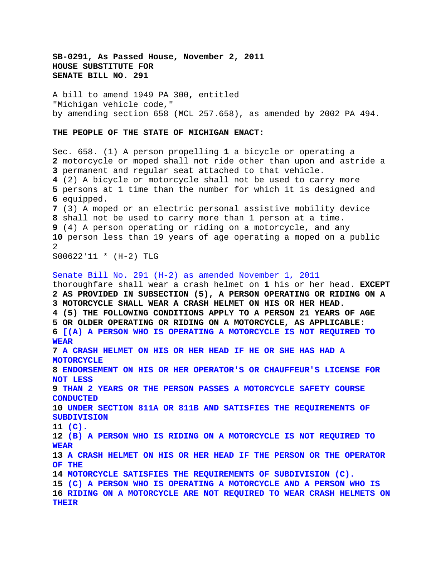**SB-0291, As Passed House, November 2, 2011 HOUSE SUBSTITUTE FOR SENATE BILL NO. 291**

A bill to amend 1949 PA 300, entitled "Michigan vehicle code," by amending section 658 (MCL 257.658), as amended by 2002 PA 494.

## **THE PEOPLE OF THE STATE OF MICHIGAN ENACT:**

Sec. 658. (1) A person propelling **1** a bicycle or operating a motorcycle or moped shall not ride other than upon and astride a permanent and regular seat attached to that vehicle. (2) A bicycle or motorcycle shall not be used to carry more persons at 1 time than the number for which it is designed and equipped. (3) A moped or an electric personal assistive mobility device shall not be used to carry more than 1 person at a time. (4) A person operating or riding on a motorcycle, and any person less than 19 years of age operating a moped on a public  $\mathcal{D}$ S00622'11 \* (H-2) TLG

Senate Bill No. 291 (H-2) as amended November 1, 2011 thoroughfare shall wear a crash helmet on **1** his or her head. **EXCEPT 2 AS PROVIDED IN SUBSECTION (5), A PERSON OPERATING OR RIDING ON A 3 MOTORCYCLE SHALL WEAR A CRASH HELMET ON HIS OR HER HEAD. 4 (5) THE FOLLOWING CONDITIONS APPLY TO A PERSON 21 YEARS OF AGE 5 OR OLDER OPERATING OR RIDING ON A MOTORCYCLE, AS APPLICABLE: 6 [(A) A PERSON WHO IS OPERATING A MOTORCYCLE IS NOT REQUIRED TO WEAR 7 A CRASH HELMET ON HIS OR HER HEAD IF HE OR SHE HAS HAD A MOTORCYCLE 8 ENDORSEMENT ON HIS OR HER OPERATOR'S OR CHAUFFEUR'S LICENSE FOR NOT LESS 9 THAN 2 YEARS OR THE PERSON PASSES A MOTORCYCLE SAFETY COURSE CONDUCTED 10 UNDER SECTION 811A OR 811B AND SATISFIES THE REQUIREMENTS OF SUBDIVISION 11 (C). 12 (B) A PERSON WHO IS RIDING ON A MOTORCYCLE IS NOT REQUIRED TO WEAR 13 A CRASH HELMET ON HIS OR HER HEAD IF THE PERSON OR THE OPERATOR OF THE 14 MOTORCYCLE SATISFIES THE REQUIREMENTS OF SUBDIVISION (C). 15 (C) A PERSON WHO IS OPERATING A MOTORCYCLE AND A PERSON WHO IS 16 RIDING ON A MOTORCYCLE ARE NOT REQUIRED TO WEAR CRASH HELMETS ON THEIR**